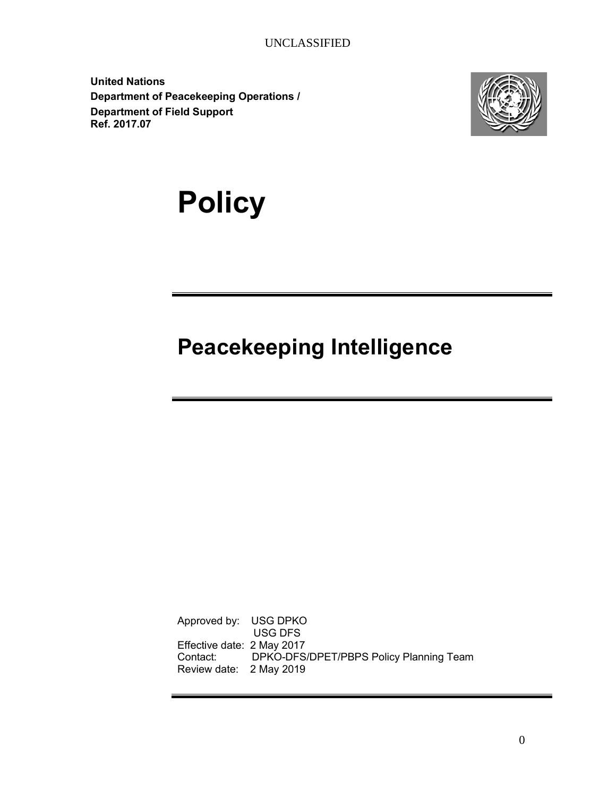**United Nations Department of Peacekeeping Operations / Department of Field Support Ref. 2017.07**



# **Policy**

## **Peacekeeping Intelligence**

<span id="page-0-0"></span>Approved by: USG DPKO USG DFS Effective date: 2 May 2017 Contact: DPKO OUSG Review date: 2 May 2019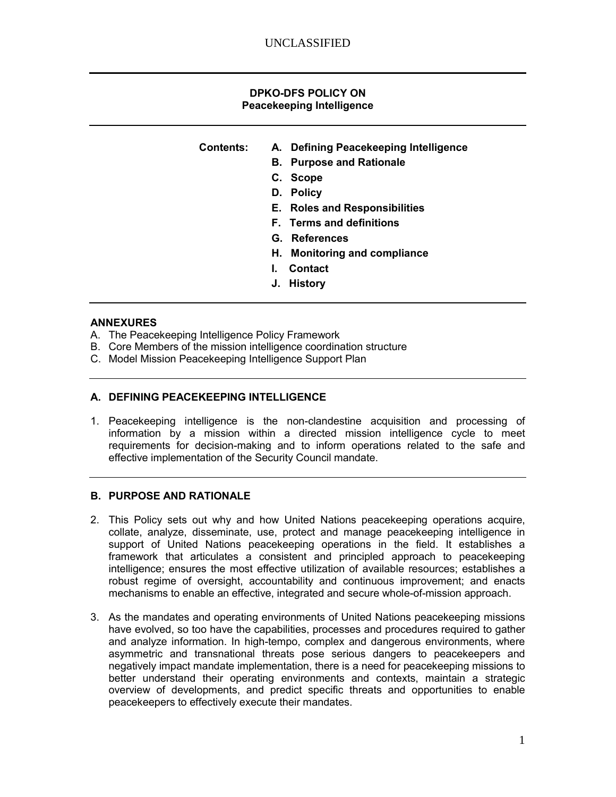#### **DPKO-DFS POLICY ON Peacekeeping Intelligence**

#### **Contents: A. Defining Peacekeeping Intelligence**

- **B. Purpose and Rationale**
- **C. Scope**
- **D. Policy**
- **E. Roles and Responsibilities**
- **F. Terms and definitions**
- **G. References**
- **H. Monitoring and compliance**
- **I. Contact**
- **J. History**

#### **ANNEXURES**

- A. The Peacekeeping Intelligence Policy Framework
- B. Core Members of the mission intelligence coordination structure
- C. Model Mission Peacekeeping Intelligence Support Plan

#### **A. DEFINING PEACEKEEPING INTELLIGENCE**

1. Peacekeeping intelligence is the non-clandestine acquisition and processing of information by a mission within a directed mission intelligence cycle to meet requirements for decision-making and to inform operations related to the safe and effective implementation of the Security Council mandate.

#### **B. PURPOSE AND RATIONALE**

- 2. This Policy sets out why and how United Nations peacekeeping operations acquire, collate, analyze, disseminate, use, protect and manage peacekeeping intelligence in support of United Nations peacekeeping operations in the field. It establishes a framework that articulates a consistent and principled approach to peacekeeping intelligence; ensures the most effective utilization of available resources; establishes a robust regime of oversight, accountability and continuous improvement; and enacts mechanisms to enable an effective, integrated and secure whole-of-mission approach.
- 3. As the mandates and operating environments of United Nations peacekeeping missions have evolved, so too have the capabilities, processes and procedures required to gather and analyze information. In high-tempo, complex and dangerous environments, where asymmetric and transnational threats pose serious dangers to peacekeepers and negatively impact mandate implementation, there is a need for peacekeeping missions to better understand their operating environments and contexts, maintain a strategic overview of developments, and predict specific threats and opportunities to enable peacekeepers to effectively execute their mandates.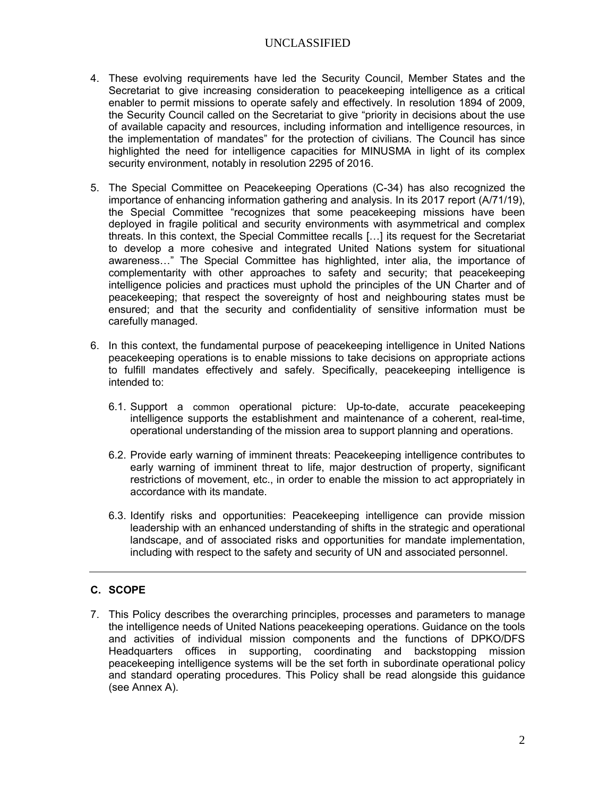- 4. These evolving requirements have led the Security Council, Member States and the Secretariat to give increasing consideration to peacekeeping intelligence as a critical enabler to permit missions to operate safely and effectively. In resolution 1894 of 2009, the Security Council called on the Secretariat to give "priority in decisions about the use of available capacity and resources, including information and intelligence resources, in the implementation of mandates" for the protection of civilians. The Council has since highlighted the need for intelligence capacities for MINUSMA in light of its complex security environment, notably in resolution 2295 of 2016.
- 5. The Special Committee on Peacekeeping Operations (C-34) has also recognized the importance of enhancing information gathering and analysis. In its 2017 report (A/71/19), the Special Committee "recognizes that some peacekeeping missions have been deployed in fragile political and security environments with asymmetrical and complex threats. In this context, the Special Committee recalls […] its request for the Secretariat to develop a more cohesive and integrated United Nations system for situational awareness…" The Special Committee has highlighted, inter alia, the importance of complementarity with other approaches to safety and security; that peacekeeping intelligence policies and practices must uphold the principles of the UN Charter and of peacekeeping; that respect the sovereignty of host and neighbouring states must be ensured; and that the security and confidentiality of sensitive information must be carefully managed.
- 6. In this context, the fundamental purpose of peacekeeping intelligence in United Nations peacekeeping operations is to enable missions to take decisions on appropriate actions to fulfill mandates effectively and safely. Specifically, peacekeeping intelligence is intended to:
	- 6.1. Support a common operational picture: Up-to-date, accurate peacekeeping intelligence supports the establishment and maintenance of a coherent, real-time, operational understanding of the mission area to support planning and operations.
	- 6.2. Provide early warning of imminent threats: Peacekeeping intelligence contributes to early warning of imminent threat to life, major destruction of property, significant restrictions of movement, etc., in order to enable the mission to act appropriately in accordance with its mandate.
	- 6.3. Identify risks and opportunities: Peacekeeping intelligence can provide mission leadership with an enhanced understanding of shifts in the strategic and operational landscape, and of associated risks and opportunities for mandate implementation, including with respect to the safety and security of UN and associated personnel.

### **C. SCOPE**

7. This Policy describes the overarching principles, processes and parameters to manage the intelligence needs of United Nations peacekeeping operations. Guidance on the tools and activities of individual mission components and the functions of DPKO/DFS Headquarters offices in supporting, coordinating and backstopping mission peacekeeping intelligence systems will be the set forth in subordinate operational policy and standard operating procedures. This Policy shall be read alongside this guidance (see Annex A).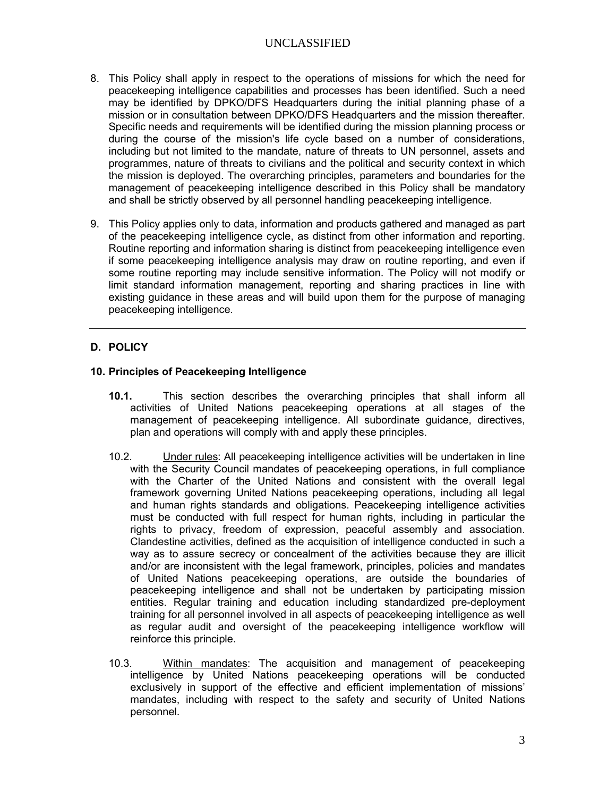- 8. This Policy shall apply in respect to the operations of missions for which the need for peacekeeping intelligence capabilities and processes has been identified. Such a need may be identified by DPKO/DFS Headquarters during the initial planning phase of a mission or in consultation between DPKO/DFS Headquarters and the mission thereafter. Specific needs and requirements will be identified during the mission planning process or during the course of the mission's life cycle based on a number of considerations, including but not limited to the mandate, nature of threats to UN personnel, assets and programmes, nature of threats to civilians and the political and security context in which the mission is deployed. The overarching principles, parameters and boundaries for the management of peacekeeping intelligence described in this Policy shall be mandatory and shall be strictly observed by all personnel handling peacekeeping intelligence.
- 9. This Policy applies only to data, information and products gathered and managed as part of the peacekeeping intelligence cycle, as distinct from other information and reporting. Routine reporting and information sharing is distinct from peacekeeping intelligence even if some peacekeeping intelligence analysis may draw on routine reporting, and even if some routine reporting may include sensitive information. The Policy will not modify or limit standard information management, reporting and sharing practices in line with existing guidance in these areas and will build upon them for the purpose of managing peacekeeping intelligence.

#### **D. POLICY**

#### **10. Principles of Peacekeeping Intelligence**

- **10.1.** This section describes the overarching principles that shall inform all activities of United Nations peacekeeping operations at all stages of the management of peacekeeping intelligence. All subordinate guidance, directives, plan and operations will comply with and apply these principles.
- 10.2. Under rules: All peacekeeping intelligence activities will be undertaken in line with the Security Council mandates of peacekeeping operations, in full compliance with the Charter of the United Nations and consistent with the overall legal framework governing United Nations peacekeeping operations, including all legal and human rights standards and obligations. Peacekeeping intelligence activities must be conducted with full respect for human rights, including in particular the rights to privacy, freedom of expression, peaceful assembly and association. Clandestine activities, defined as the acquisition of intelligence conducted in such a way as to assure secrecy or concealment of the activities because they are illicit and/or are inconsistent with the legal framework, principles, policies and mandates of United Nations peacekeeping operations, are outside the boundaries of peacekeeping intelligence and shall not be undertaken by participating mission entities. Regular training and education including standardized pre-deployment training for all personnel involved in all aspects of peacekeeping intelligence as well as regular audit and oversight of the peacekeeping intelligence workflow will reinforce this principle.
- 10.3. Within mandates: The acquisition and management of peacekeeping intelligence by United Nations peacekeeping operations will be conducted exclusively in support of the effective and efficient implementation of missions' mandates, including with respect to the safety and security of United Nations personnel.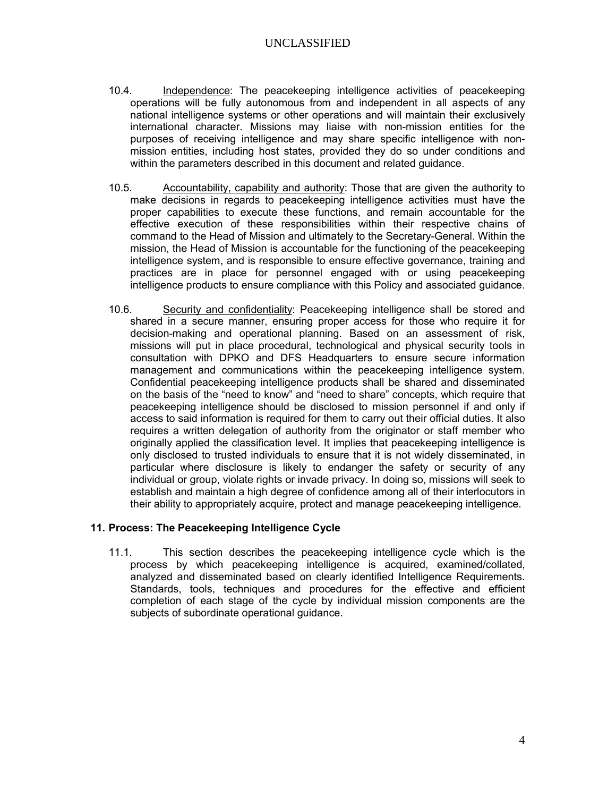- 10.4. Independence: The peacekeeping intelligence activities of peacekeeping operations will be fully autonomous from and independent in all aspects of any national intelligence systems or other operations and will maintain their exclusively international character. Missions may liaise with non-mission entities for the purposes of receiving intelligence and may share specific intelligence with nonmission entities, including host states, provided they do so under conditions and within the parameters described in this document and related guidance.
- 10.5. Accountability, capability and authority: Those that are given the authority to make decisions in regards to peacekeeping intelligence activities must have the proper capabilities to execute these functions, and remain accountable for the effective execution of these responsibilities within their respective chains of command to the Head of Mission and ultimately to the Secretary-General. Within the mission, the Head of Mission is accountable for the functioning of the peacekeeping intelligence system, and is responsible to ensure effective governance, training and practices are in place for personnel engaged with or using peacekeeping intelligence products to ensure compliance with this Policy and associated guidance.
- 10.6. Security and confidentiality: Peacekeeping intelligence shall be stored and shared in a secure manner, ensuring proper access for those who require it for decision-making and operational planning. Based on an assessment of risk, missions will put in place procedural, technological and physical security tools in consultation with DPKO and DFS Headquarters to ensure secure information management and communications within the peacekeeping intelligence system. Confidential peacekeeping intelligence products shall be shared and disseminated on the basis of the "need to know" and "need to share" concepts, which require that peacekeeping intelligence should be disclosed to mission personnel if and only if access to said information is required for them to carry out their official duties. It also requires a written delegation of authority from the originator or staff member who originally applied the classification level. It implies that peacekeeping intelligence is only disclosed to trusted individuals to ensure that it is not widely disseminated, in particular where disclosure is likely to endanger the safety or security of any individual or group, violate rights or invade privacy. In doing so, missions will seek to establish and maintain a high degree of confidence among all of their interlocutors in their ability to appropriately acquire, protect and manage peacekeeping intelligence.

#### **11. Process: The Peacekeeping Intelligence Cycle**

11.1. This section describes the peacekeeping intelligence cycle which is the process by which peacekeeping intelligence is acquired, examined/collated, analyzed and disseminated based on clearly identified Intelligence Requirements. Standards, tools, techniques and procedures for the effective and efficient completion of each stage of the cycle by individual mission components are the subjects of subordinate operational guidance.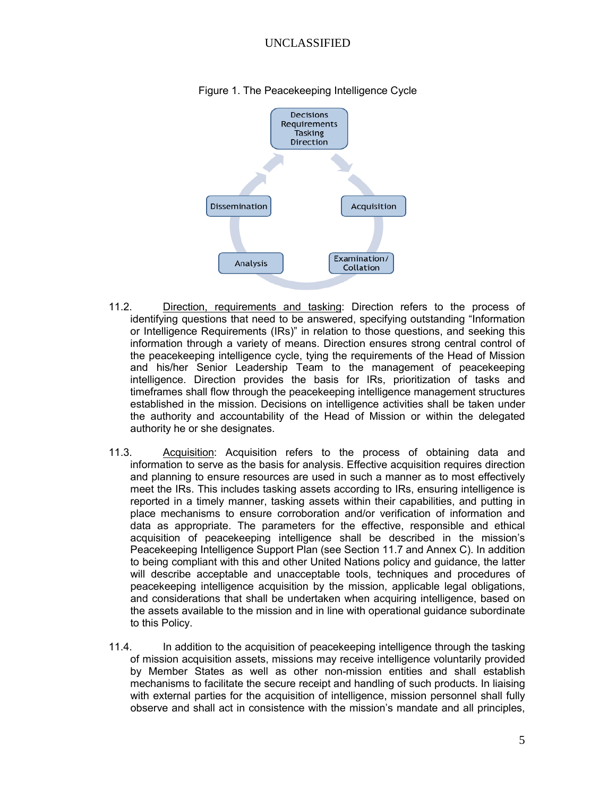

#### Figure 1. The Peacekeeping Intelligence Cycle

- 11.2. Direction, requirements and tasking: Direction refers to the process of identifying questions that need to be answered, specifying outstanding "Information or Intelligence Requirements (IRs)" in relation to those questions, and seeking this information through a variety of means. Direction ensures strong central control of the peacekeeping intelligence cycle, tying the requirements of the Head of Mission and his/her Senior Leadership Team to the management of peacekeeping intelligence. Direction provides the basis for IRs, prioritization of tasks and timeframes shall flow through the peacekeeping intelligence management structures established in the mission. Decisions on intelligence activities shall be taken under the authority and accountability of the Head of Mission or within the delegated authority he or she designates.
- 11.3. Acquisition: Acquisition refers to the process of obtaining data and information to serve as the basis for analysis. Effective acquisition requires direction and planning to ensure resources are used in such a manner as to most effectively meet the IRs. This includes tasking assets according to IRs, ensuring intelligence is reported in a timely manner, tasking assets within their capabilities, and putting in place mechanisms to ensure corroboration and/or verification of information and data as appropriate. The parameters for the effective, responsible and ethical acquisition of peacekeeping intelligence shall be described in the mission's Peacekeeping Intelligence Support Plan (see Section 11.7 and Annex C). In addition to being compliant with this and other United Nations policy and guidance, the latter will describe acceptable and unacceptable tools, techniques and procedures of peacekeeping intelligence acquisition by the mission, applicable legal obligations, and considerations that shall be undertaken when acquiring intelligence, based on the assets available to the mission and in line with operational guidance subordinate to this Policy.
- 11.4. In addition to the acquisition of peacekeeping intelligence through the tasking of mission acquisition assets, missions may receive intelligence voluntarily provided by Member States as well as other non-mission entities and shall establish mechanisms to facilitate the secure receipt and handling of such products. In liaising with external parties for the acquisition of intelligence, mission personnel shall fully observe and shall act in consistence with the mission's mandate and all principles,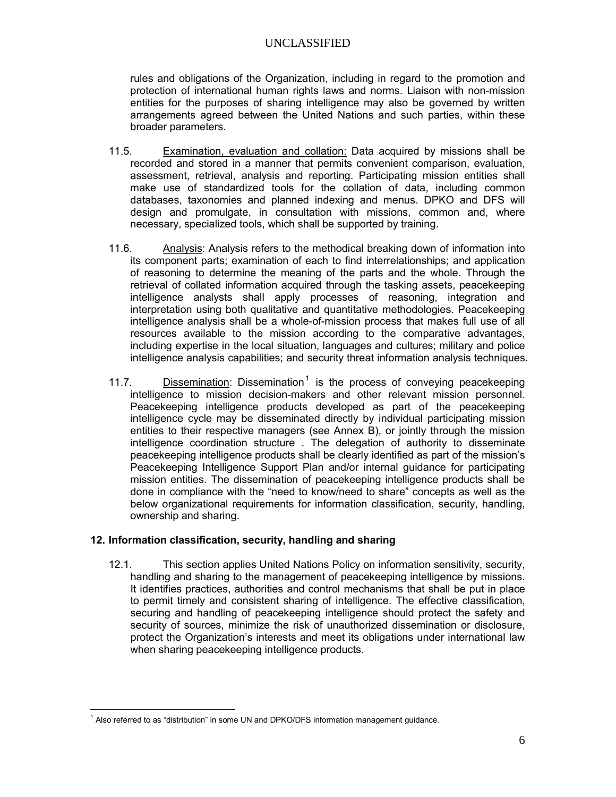rules and obligations of the Organization, including in regard to the promotion and protection of international human rights laws and norms. Liaison with non-mission entities for the purposes of sharing intelligence may also be governed by written arrangements agreed between the United Nations and such parties, within these broader parameters.

- 11.5. Examination, evaluation and collation: Data acquired by missions shall be recorded and stored in a manner that permits convenient comparison, evaluation, assessment, retrieval, analysis and reporting. Participating mission entities shall make use of standardized tools for the collation of data, including common databases, taxonomies and planned indexing and menus. DPKO and DFS will design and promulgate, in consultation with missions, common and, where necessary, specialized tools, which shall be supported by training.
- 11.6. Analysis: Analysis refers to the methodical breaking down of information into its component parts; examination of each to find interrelationships; and application of reasoning to determine the meaning of the parts and the whole. Through the retrieval of collated information acquired through the tasking assets, peacekeeping intelligence analysts shall apply processes of reasoning, integration and interpretation using both qualitative and quantitative methodologies. Peacekeeping intelligence analysis shall be a whole-of-mission process that makes full use of all resources available to the mission according to the comparative advantages, including expertise in the local situation, languages and cultures; military and police intelligence analysis capabilities; and security threat information analysis techniques.
- [1](#page-0-0)1.7. Dissemination: Dissemination<sup>1</sup> is the process of conveying peacekeeping intelligence to mission decision-makers and other relevant mission personnel. Peacekeeping intelligence products developed as part of the peacekeeping intelligence cycle may be disseminated directly by individual participating mission entities to their respective managers (see Annex B), or jointly through the mission intelligence coordination structure . The delegation of authority to disseminate peacekeeping intelligence products shall be clearly identified as part of the mission's Peacekeeping Intelligence Support Plan and/or internal guidance for participating mission entities. The dissemination of peacekeeping intelligence products shall be done in compliance with the "need to know/need to share" concepts as well as the below organizational requirements for information classification, security, handling, ownership and sharing.

#### **12. Information classification, security, handling and sharing**

12.1. This section applies United Nations Policy on information sensitivity, security, handling and sharing to the management of peacekeeping intelligence by missions. It identifies practices, authorities and control mechanisms that shall be put in place to permit timely and consistent sharing of intelligence. The effective classification, securing and handling of peacekeeping intelligence should protect the safety and security of sources, minimize the risk of unauthorized dissemination or disclosure, protect the Organization's interests and meet its obligations under international law when sharing peacekeeping intelligence products.

 $\overline{a}$  $1$  Also referred to as "distribution" in some UN and DPKO/DFS information management guidance.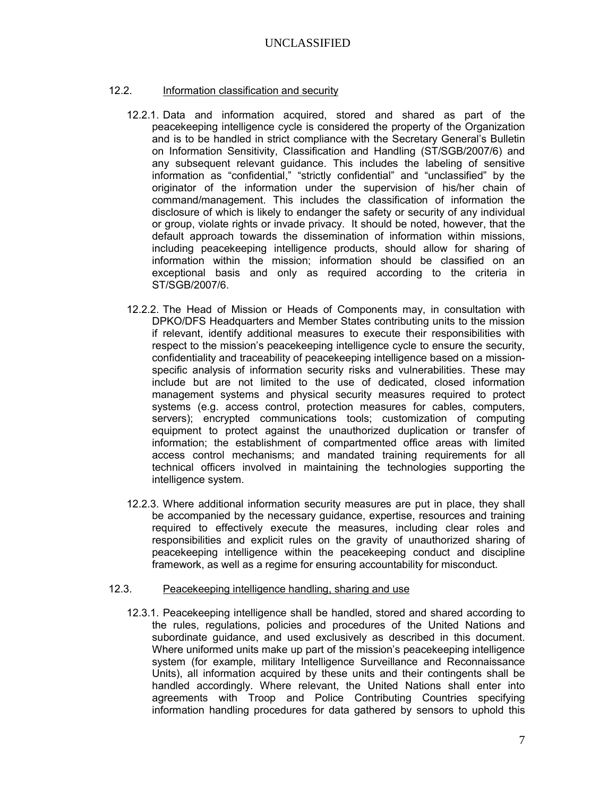#### 12.2. Information classification and security

- 12.2.1. Data and information acquired, stored and shared as part of the peacekeeping intelligence cycle is considered the property of the Organization and is to be handled in strict compliance with the Secretary General's Bulletin on Information Sensitivity, Classification and Handling (ST/SGB/2007/6) and any subsequent relevant guidance. This includes the labeling of sensitive information as "confidential," "strictly confidential" and "unclassified" by the originator of the information under the supervision of his/her chain of command/management. This includes the classification of information the disclosure of which is likely to endanger the safety or security of any individual or group, violate rights or invade privacy. It should be noted, however, that the default approach towards the dissemination of information within missions, including peacekeeping intelligence products, should allow for sharing of information within the mission; information should be classified on an exceptional basis and only as required according to the criteria in ST/SGB/2007/6.
- 12.2.2. The Head of Mission or Heads of Components may, in consultation with DPKO/DFS Headquarters and Member States contributing units to the mission if relevant, identify additional measures to execute their responsibilities with respect to the mission's peacekeeping intelligence cycle to ensure the security, confidentiality and traceability of peacekeeping intelligence based on a missionspecific analysis of information security risks and vulnerabilities. These may include but are not limited to the use of dedicated, closed information management systems and physical security measures required to protect systems (e.g. access control, protection measures for cables, computers, servers); encrypted communications tools; customization of computing equipment to protect against the unauthorized duplication or transfer of information; the establishment of compartmented office areas with limited access control mechanisms; and mandated training requirements for all technical officers involved in maintaining the technologies supporting the intelligence system.
- 12.2.3. Where additional information security measures are put in place, they shall be accompanied by the necessary guidance, expertise, resources and training required to effectively execute the measures, including clear roles and responsibilities and explicit rules on the gravity of unauthorized sharing of peacekeeping intelligence within the peacekeeping conduct and discipline framework, as well as a regime for ensuring accountability for misconduct.

#### 12.3. Peacekeeping intelligence handling, sharing and use

12.3.1. Peacekeeping intelligence shall be handled, stored and shared according to the rules, regulations, policies and procedures of the United Nations and subordinate guidance, and used exclusively as described in this document. Where uniformed units make up part of the mission's peacekeeping intelligence system (for example, military Intelligence Surveillance and Reconnaissance Units), all information acquired by these units and their contingents shall be handled accordingly. Where relevant, the United Nations shall enter into agreements with Troop and Police Contributing Countries specifying information handling procedures for data gathered by sensors to uphold this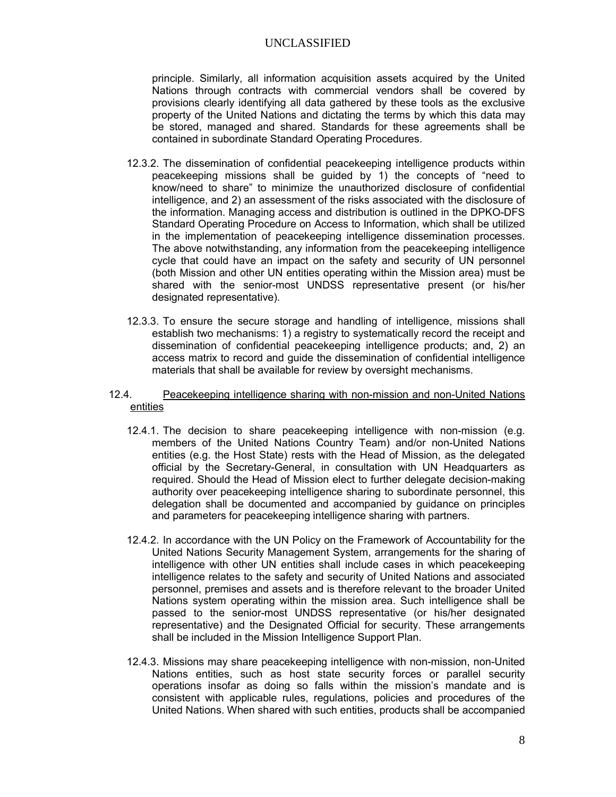principle. Similarly, all information acquisition assets acquired by the United Nations through contracts with commercial vendors shall be covered by provisions clearly identifying all data gathered by these tools as the exclusive property of the United Nations and dictating the terms by which this data may be stored, managed and shared. Standards for these agreements shall be contained in subordinate Standard Operating Procedures.

- 12.3.2. The dissemination of confidential peacekeeping intelligence products within peacekeeping missions shall be guided by 1) the concepts of "need to know/need to share" to minimize the unauthorized disclosure of confidential intelligence, and 2) an assessment of the risks associated with the disclosure of the information. Managing access and distribution is outlined in the DPKO-DFS Standard Operating Procedure on Access to Information, which shall be utilized in the implementation of peacekeeping intelligence dissemination processes. The above notwithstanding, any information from the peacekeeping intelligence cycle that could have an impact on the safety and security of UN personnel (both Mission and other UN entities operating within the Mission area) must be shared with the senior-most UNDSS representative present (or his/her designated representative).
- 12.3.3. To ensure the secure storage and handling of intelligence, missions shall establish two mechanisms: 1) a registry to systematically record the receipt and dissemination of confidential peacekeeping intelligence products; and, 2) an access matrix to record and guide the dissemination of confidential intelligence materials that shall be available for review by oversight mechanisms.
- 12.4. Peacekeeping intelligence sharing with non-mission and non-United Nations entities
	- 12.4.1. The decision to share peacekeeping intelligence with non-mission (e.g. members of the United Nations Country Team) and/or non-United Nations entities (e.g. the Host State) rests with the Head of Mission, as the delegated official by the Secretary-General, in consultation with UN Headquarters as required. Should the Head of Mission elect to further delegate decision-making authority over peacekeeping intelligence sharing to subordinate personnel, this delegation shall be documented and accompanied by guidance on principles and parameters for peacekeeping intelligence sharing with partners.
	- 12.4.2. In accordance with the UN Policy on the Framework of Accountability for the United Nations Security Management System, arrangements for the sharing of intelligence with other UN entities shall include cases in which peacekeeping intelligence relates to the safety and security of United Nations and associated personnel, premises and assets and is therefore relevant to the broader United Nations system operating within the mission area. Such intelligence shall be passed to the senior-most UNDSS representative (or his/her designated representative) and the Designated Official for security. These arrangements shall be included in the Mission Intelligence Support Plan.
	- 12.4.3. Missions may share peacekeeping intelligence with non-mission, non-United Nations entities, such as host state security forces or parallel security operations insofar as doing so falls within the mission's mandate and is consistent with applicable rules, regulations, policies and procedures of the United Nations. When shared with such entities, products shall be accompanied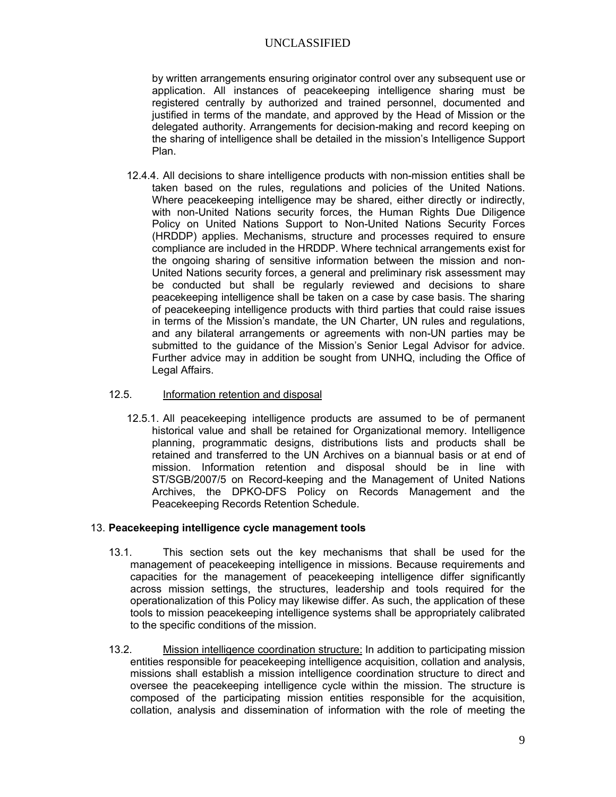by written arrangements ensuring originator control over any subsequent use or application. All instances of peacekeeping intelligence sharing must be registered centrally by authorized and trained personnel, documented and justified in terms of the mandate, and approved by the Head of Mission or the delegated authority. Arrangements for decision-making and record keeping on the sharing of intelligence shall be detailed in the mission's Intelligence Support Plan.

12.4.4. All decisions to share intelligence products with non-mission entities shall be taken based on the rules, regulations and policies of the United Nations. Where peacekeeping intelligence may be shared, either directly or indirectly, with non-United Nations security forces, the Human Rights Due Diligence Policy on United Nations Support to Non-United Nations Security Forces (HRDDP) applies. Mechanisms, structure and processes required to ensure compliance are included in the HRDDP. Where technical arrangements exist for the ongoing sharing of sensitive information between the mission and non-United Nations security forces, a general and preliminary risk assessment may be conducted but shall be regularly reviewed and decisions to share peacekeeping intelligence shall be taken on a case by case basis. The sharing of peacekeeping intelligence products with third parties that could raise issues in terms of the Mission's mandate, the UN Charter, UN rules and regulations, and any bilateral arrangements or agreements with non-UN parties may be submitted to the guidance of the Mission's Senior Legal Advisor for advice. Further advice may in addition be sought from UNHQ, including the Office of Legal Affairs.

#### 12.5. Information retention and disposal

12.5.1. All peacekeeping intelligence products are assumed to be of permanent historical value and shall be retained for Organizational memory. Intelligence planning, programmatic designs, distributions lists and products shall be retained and transferred to the UN Archives on a biannual basis or at end of mission. Information retention and disposal should be in line with ST/SGB/2007/5 on Record-keeping and the Management of United Nations Archives, the DPKO-DFS Policy on Records Management and the Peacekeeping Records Retention Schedule.

#### 13. **Peacekeeping intelligence cycle management tools**

- 13.1. This section sets out the key mechanisms that shall be used for the management of peacekeeping intelligence in missions. Because requirements and capacities for the management of peacekeeping intelligence differ significantly across mission settings, the structures, leadership and tools required for the operationalization of this Policy may likewise differ. As such, the application of these tools to mission peacekeeping intelligence systems shall be appropriately calibrated to the specific conditions of the mission.
- 13.2. Mission intelligence coordination structure: In addition to participating mission entities responsible for peacekeeping intelligence acquisition, collation and analysis, missions shall establish a mission intelligence coordination structure to direct and oversee the peacekeeping intelligence cycle within the mission. The structure is composed of the participating mission entities responsible for the acquisition, collation, analysis and dissemination of information with the role of meeting the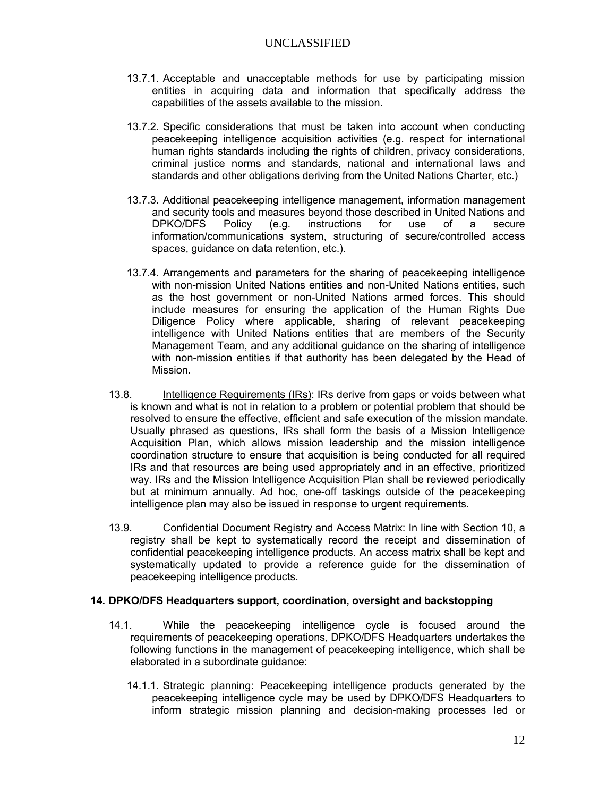rules and obligations of the Organization, including in regard to the promotion and protection of international human rights laws and norms. Liaison with non-mission entities for the purposes of sharing intelligence may also be governed by written arrangements agreed between the United Nations and such parties, within these broader parameters.

- $11.5.$ Examination, evaluation and collation: Data acquired by missions shall be recorded and stored in a manner that permits convenient comparison, evaluation, assessment, retrieval, analysis and reporting. Participating mission entities shall make use of standardized tools for the collation of data, including common databases, taxonomies and planned indexing and menus. DPKO and DFS will design and promulgate, in consultation with missions, common and, where necessary, specialized tools, which shall be supported by training.
- $11.6.$ Analysis: Analysis refers to the methodical breaking down of information into its component parts; examination of each to find interrelationships; and application of reasoning to determine the meaning of the parts and the whole. Through the retrieval of collated information acquired through the tasking assets, peacekeeping intelligence analysts shall apply processes of reasoning, integration and interpretation using both qualitative and quantitative methodologies. Peacekeeping intelligence analysis shall be a whole-of-mission process that makes full use of all resources available to the mission according to the comparative advantages, including expertise in the local situation, languages and cultures; military and police intelligence analysis capabilities; and security threat information analysis techniques.
- Dissemination: Dissemination<sup>1</sup> is the process of conveying peacekeeping  $11.7.$ intelligence to mission decision-makers and other relevant mission personnel. Peacekeeping intelligence products developed as part of the peacekeeping intelligence cycle may be disseminated directly by individual participating mission entities to their respective managers (see Annex B), or jointly through the mission intelligence coordination structure. The delegation of authority to disseminate peacekeeping intelligence products shall be clearly identified as part of the mission's Peacekeeping Intelligence Support Plan and/or internal guidance for participating mission entities. The dissemination of peacekeeping intelligence products shall be done in compliance with the "need to know/need to share" concepts as well as the below organizational requirements for information classification, security, handling, ownership and sharing.

#### 12. Information classification, security, handling and sharing

 $12.1.$ This section applies United Nations Policy on information sensitivity, security, handling and sharing to the management of peacekeeping intelligence by missions. It identifies practices, authorities and control mechanisms that shall be put in place to permit timely and consistent sharing of intelligence. The effective classification, securing and handling of peacekeeping intelligence should protect the safety and security of sources, minimize the risk of unauthorized dissemination or disclosure, protect the Organization's interests and meet its obligations under international law when sharing peacekeeping intelligence products.

 $1$  Also referred to as "distribution" in some UN and DPKO/DFS information management quidance.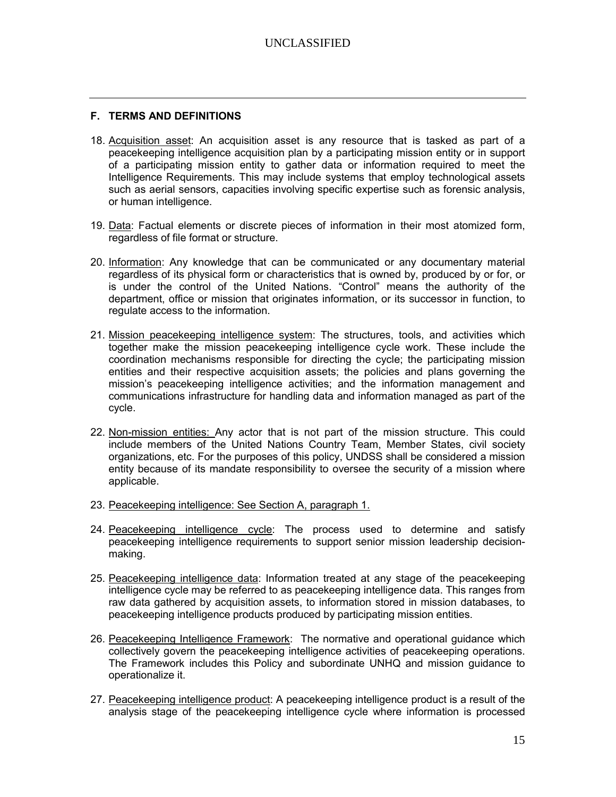#### **F. TERMS AND DEFINITIONS**

- 18. Acquisition asset: An acquisition asset is any resource that is tasked as part of a peacekeeping intelligence acquisition plan by a participating mission entity or in support of a participating mission entity to gather data or information required to meet the Intelligence Requirements. This may include systems that employ technological assets such as aerial sensors, capacities involving specific expertise such as forensic analysis, or human intelligence.
- 19. Data: Factual elements or discrete pieces of information in their most atomized form, regardless of file format or structure.
- 20. Information: Any knowledge that can be communicated or any documentary material regardless of its physical form or characteristics that is owned by, produced by or for, or is under the control of the United Nations. "Control" means the authority of the department, office or mission that originates information, or its successor in function, to regulate access to the information.
- 21. Mission peacekeeping intelligence system: The structures, tools, and activities which together make the mission peacekeeping intelligence cycle work. These include the coordination mechanisms responsible for directing the cycle; the participating mission entities and their respective acquisition assets; the policies and plans governing the mission's peacekeeping intelligence activities; and the information management and communications infrastructure for handling data and information managed as part of the cycle.
- 22. Non-mission entities: Any actor that is not part of the mission structure. This could include members of the United Nations Country Team, Member States, civil society organizations, etc. For the purposes of this policy, UNDSS shall be considered a mission entity because of its mandate responsibility to oversee the security of a mission where applicable.
- 23. Peacekeeping intelligence: See Section A, paragraph 1.
- 24. Peacekeeping intelligence cycle: The process used to determine and satisfy peacekeeping intelligence requirements to support senior mission leadership decisionmaking.
- 25. Peacekeeping intelligence data: Information treated at any stage of the peacekeeping intelligence cycle may be referred to as peacekeeping intelligence data. This ranges from raw data gathered by acquisition assets, to information stored in mission databases, to peacekeeping intelligence products produced by participating mission entities.
- 26. Peacekeeping Intelligence Framework: The normative and operational guidance which collectively govern the peacekeeping intelligence activities of peacekeeping operations. The Framework includes this Policy and subordinate UNHQ and mission guidance to operationalize it.
- 27. Peacekeeping intelligence product: A peacekeeping intelligence product is a result of the analysis stage of the peacekeeping intelligence cycle where information is processed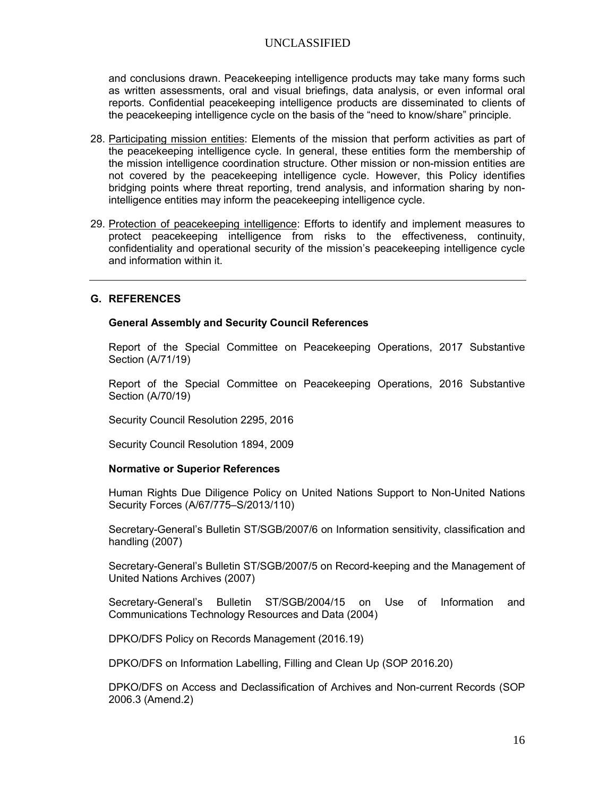and conclusions drawn. Peacekeeping intelligence products may take many forms such as written assessments, oral and visual briefings, data analysis, or even informal oral reports. Confidential peacekeeping intelligence products are disseminated to clients of the peacekeeping intelligence cycle on the basis of the "need to know/share" principle.

- 28. Participating mission entities: Elements of the mission that perform activities as part of the peacekeeping intelligence cycle. In general, these entities form the membership of the mission intelligence coordination structure. Other mission or non-mission entities are not covered by the peacekeeping intelligence cycle. However, this Policy identifies bridging points where threat reporting, trend analysis, and information sharing by nonintelligence entities may inform the peacekeeping intelligence cycle.
- 29. Protection of peacekeeping intelligence: Efforts to identify and implement measures to protect peacekeeping intelligence from risks to the effectiveness, continuity, confidentiality and operational security of the mission's peacekeeping intelligence cycle and information within it.

#### **G. REFERENCES**

#### **General Assembly and Security Council References**

Report of the Special Committee on Peacekeeping Operations, 2017 Substantive Section (A/71/19)

Report of the Special Committee on Peacekeeping Operations, 2016 Substantive Section (A/70/19)

Security Council Resolution 2295, 2016

Security Council Resolution 1894, 2009

#### **Normative or Superior References**

Human Rights Due Diligence Policy on United Nations Support to Non-United Nations Security Forces (A/67/775–S/2013/110)

Secretary-General's Bulletin ST/SGB/2007/6 on Information sensitivity, classification and handling (2007)

Secretary-General's Bulletin ST/SGB/2007/5 on Record-keeping and the Management of United Nations Archives (2007)

Secretary-General's Bulletin ST/SGB/2004/15 on Use of Information and Communications Technology Resources and Data (2004)

DPKO/DFS Policy on Records Management (2016.19)

DPKO/DFS on Information Labelling, Filling and Clean Up (SOP 2016.20)

DPKO/DFS on Access and Declassification of Archives and Non-current Records (SOP 2006.3 (Amend.2)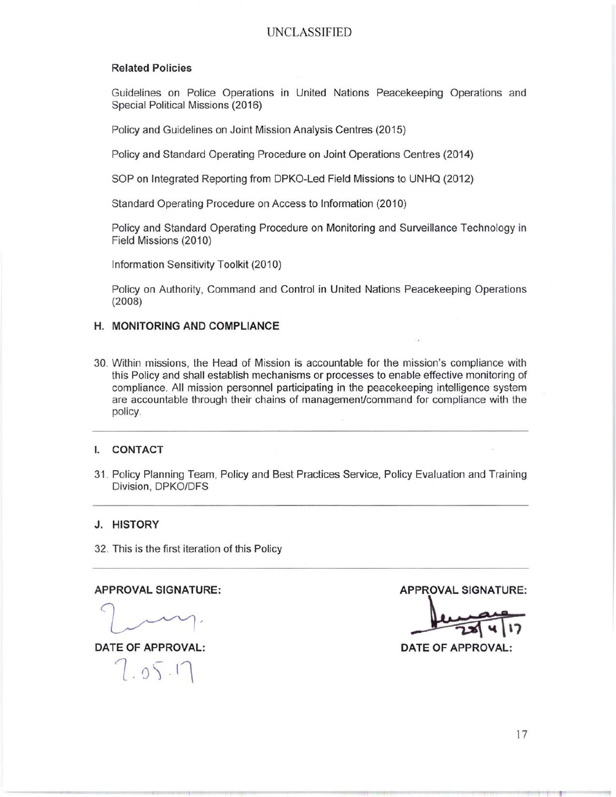#### **Related Policies**

Guidelines on Police Operations in United Nations Peacekeeping Operations and Special Political Missions (2016)

Policy and Guidelines on Joint Mission Analysis Centres (2015)

Policy and Standard Operating Procedure on Joint Operations Centres (2014)

SOP on Integrated Reporting from DPKO-Led Field Missions to UNHQ (2012)

Standard Operating Procedure on Access to Information (2010)

Policy and Standard Operating Procedure on Monitoring and Surveillance Technology in Field Missions (2010)

Information Sensitivity Toolkit (2010)

Policy on Authority, Command and Control in United Nations Peacekeeping Operations  $(2008)$ 

#### H. MONITORING AND COMPLIANCE

30. Within missions, the Head of Mission is accountable for the mission's compliance with this Policy and shall establish mechanisms or processes to enable effective monitoring of compliance. All mission personnel participating in the peacekeeping intelligence system are accountable through their chains of management/command for compliance with the policy.

#### **CONTACT** L.

31. Policy Planning Team, Policy and Best Practices Service, Policy Evaluation and Training Division, DPKO/DFS

#### J. HISTORY

32. This is the first iteration of this Policy

#### **APPROVAL SIGNATURE:**

**DATE OF APPROVAL:** 

 $7.05.17$ 

**APPROVAL SIGNATURE:** 

**DATE OF APPROVAL:**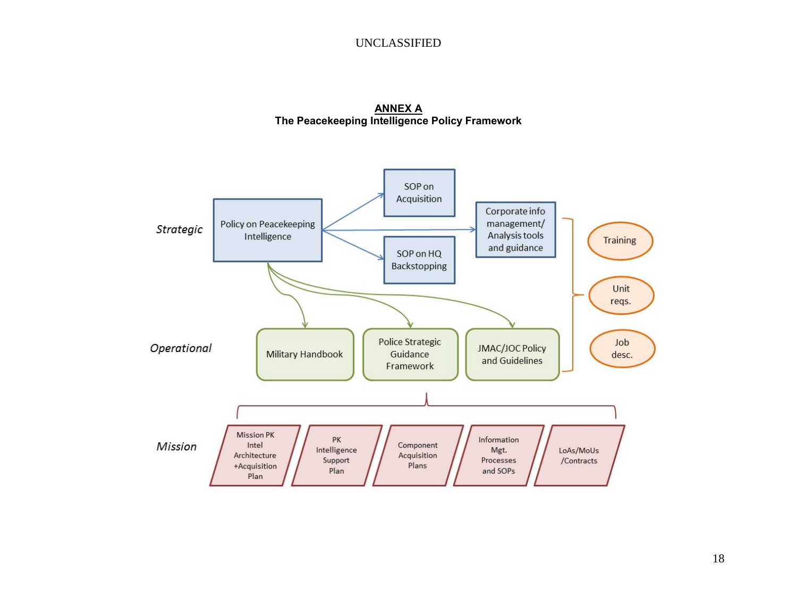**ANNEX A The Peacekeeping Intelligence Policy Framework**

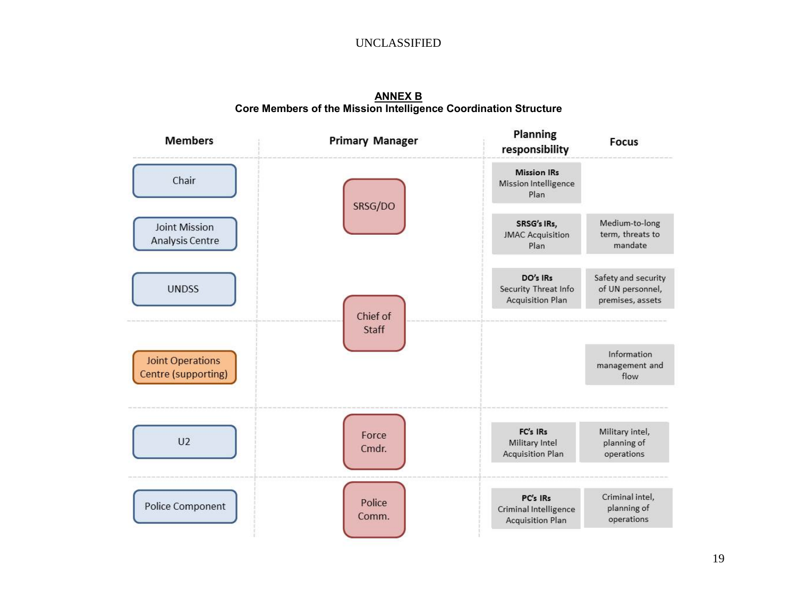**ANNEX B Core Members of the Mission Intelligence Coordination Structure**

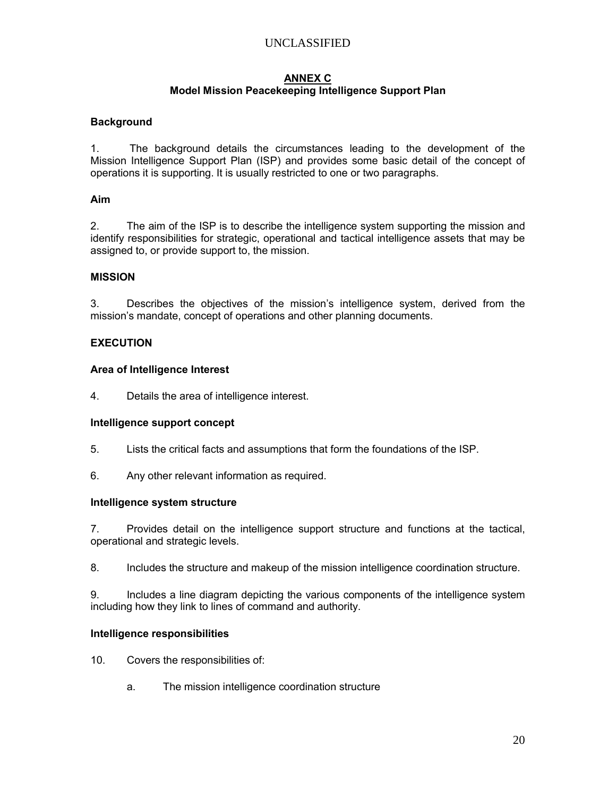#### **ANNEX C Model Mission Peacekeeping Intelligence Support Plan**

#### **Background**

1. The background details the circumstances leading to the development of the Mission Intelligence Support Plan (ISP) and provides some basic detail of the concept of operations it is supporting. It is usually restricted to one or two paragraphs.

#### **Aim**

2. The aim of the ISP is to describe the intelligence system supporting the mission and identify responsibilities for strategic, operational and tactical intelligence assets that may be assigned to, or provide support to, the mission.

#### **MISSION**

3. Describes the objectives of the mission's intelligence system, derived from the mission's mandate, concept of operations and other planning documents.

#### **EXECUTION**

#### **Area of Intelligence Interest**

4. Details the area of intelligence interest.

#### **Intelligence support concept**

- 5. Lists the critical facts and assumptions that form the foundations of the ISP.
- 6. Any other relevant information as required.

#### **Intelligence system structure**

7. Provides detail on the intelligence support structure and functions at the tactical, operational and strategic levels.

8. Includes the structure and makeup of the mission intelligence coordination structure.

9. Includes a line diagram depicting the various components of the intelligence system including how they link to lines of command and authority.

#### **Intelligence responsibilities**

- 10. Covers the responsibilities of:
	- a. The mission intelligence coordination structure